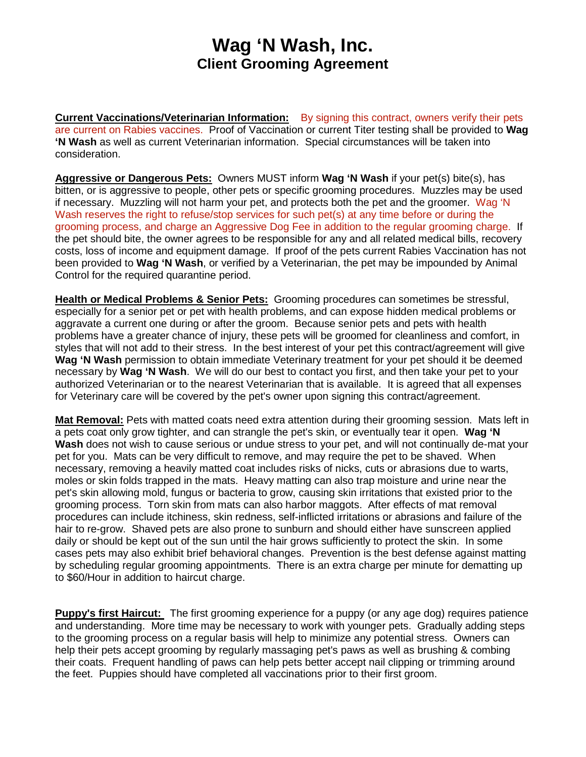## **Wag 'N Wash, Inc. Client Grooming Agreement**

**Current Vaccinations/Veterinarian Information:** By signing this contract, owners verify their pets are current on Rabies vaccines. Proof of Vaccination or current Titer testing shall be provided to **Wag 'N Wash** as well as current Veterinarian information. Special circumstances will be taken into consideration.

**Aggressive or Dangerous Pets:** Owners MUST inform **Wag 'N Wash** if your pet(s) bite(s), has bitten, or is aggressive to people, other pets or specific grooming procedures. Muzzles may be used if necessary. Muzzling will not harm your pet, and protects both the pet and the groomer. Wag 'N Wash reserves the right to refuse/stop services for such pet(s) at any time before or during the grooming process, and charge an Aggressive Dog Fee in addition to the regular grooming charge. If the pet should bite, the owner agrees to be responsible for any and all related medical bills, recovery costs, loss of income and equipment damage. If proof of the pets current Rabies Vaccination has not been provided to **Wag 'N Wash**, or verified by a Veterinarian, the pet may be impounded by Animal Control for the required quarantine period.

**Health or Medical Problems & Senior Pets:** Grooming procedures can sometimes be stressful, especially for a senior pet or pet with health problems, and can expose hidden medical problems or aggravate a current one during or after the groom. Because senior pets and pets with health problems have a greater chance of injury, these pets will be groomed for cleanliness and comfort, in styles that will not add to their stress. In the best interest of your pet this contract/agreement will give **Wag 'N Wash** permission to obtain immediate Veterinary treatment for your pet should it be deemed necessary by **Wag 'N Wash**. We will do our best to contact you first, and then take your pet to your authorized Veterinarian or to the nearest Veterinarian that is available. It is agreed that all expenses for Veterinary care will be covered by the pet's owner upon signing this contract/agreement.

**Mat Removal:** Pets with matted coats need extra attention during their grooming session. Mats left in a pets coat only grow tighter, and can strangle the pet's skin, or eventually tear it open. **Wag 'N Wash** does not wish to cause serious or undue stress to your pet, and will not continually de-mat your pet for you. Mats can be very difficult to remove, and may require the pet to be shaved. When necessary, removing a heavily matted coat includes risks of nicks, cuts or abrasions due to warts, moles or skin folds trapped in the mats. Heavy matting can also trap moisture and urine near the pet's skin allowing mold, fungus or bacteria to grow, causing skin irritations that existed prior to the grooming process. Torn skin from mats can also harbor maggots. After effects of mat removal procedures can include itchiness, skin redness, self-inflicted irritations or abrasions and failure of the hair to re-grow. Shaved pets are also prone to sunburn and should either have sunscreen applied daily or should be kept out of the sun until the hair grows sufficiently to protect the skin. In some cases pets may also exhibit brief behavioral changes. Prevention is the best defense against matting by scheduling regular grooming appointments. There is an extra charge per minute for dematting up to \$60/Hour in addition to haircut charge.

**Puppy's first Haircut:** The first grooming experience for a puppy (or any age dog) requires patience and understanding. More time may be necessary to work with younger pets. Gradually adding steps to the grooming process on a regular basis will help to minimize any potential stress. Owners can help their pets accept grooming by regularly massaging pet's paws as well as brushing & combing their coats. Frequent handling of paws can help pets better accept nail clipping or trimming around the feet. Puppies should have completed all vaccinations prior to their first groom.